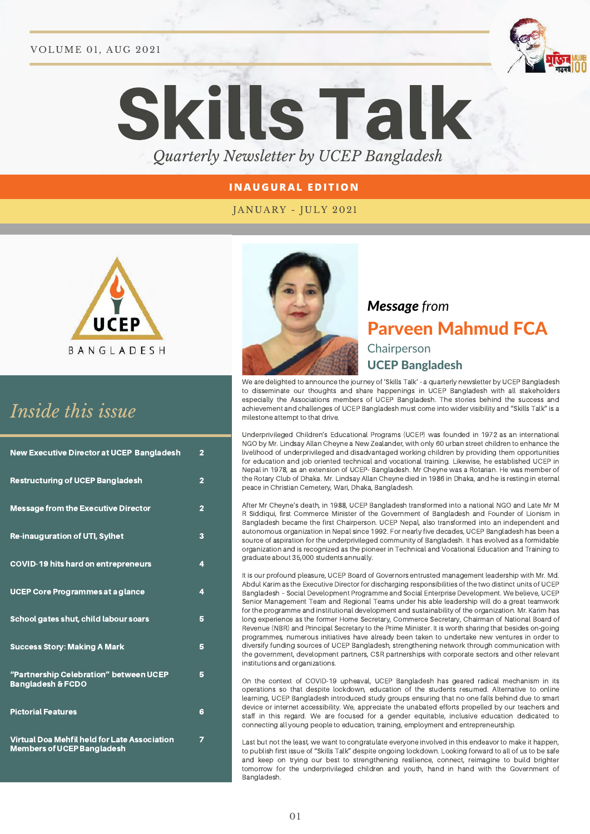#### VOLUME 01, AUG 2021



# Skills Talk *Quarterly Newsletter by UCEP Bangladesh*

## **I N AUGURAL EDITIO N**

## JANUARY - JULY 2021



# *Inside this issue*

| <b>New Executive Director at UCEP Bangladesh</b>                                         | $\overline{2}$ |
|------------------------------------------------------------------------------------------|----------------|
| <b>Restructuring of UCEP Bangladesh</b>                                                  | $\overline{2}$ |
| <b>Message from the Executive Director</b>                                               | $\overline{2}$ |
| <b>Re-inauguration of UTI, Sylhet</b>                                                    | 3              |
| <b>COVID-19 hits hard on entrepreneurs</b>                                               | 4              |
| UCEP Core Programmes at a glance                                                         | 4              |
| School gates shut, child labour soars                                                    | 5              |
| <b>Success Story: Making A Mark</b>                                                      | 5              |
| "Partnership Celebration" between UCEP<br><b>Bangladesh &amp; FCDO</b>                   | 5              |
| <b>Pictorial Features</b>                                                                | 6              |
| <b>Virtual Doa Mehfil held for Late Association</b><br><b>Members of UCEP Bangladesh</b> | 7              |



# *Message from* Parveen Mahmud FCA Chairperson UCEP Bangladesh

We are delighted to announce the journey of 'Skills Talk' - a quarterly newsletter by UCEP Bangladesh to disseminate our thoughts and share happenings in UCEP Bangladesh with all stakeholders especially the Associations members of UCEP Bangladesh. The stories behind the success and achievement and challenges of UCEP Bangladesh must come into wider visibility and "Skills Talk" is a milestone attempt to that drive.

Underprivileged Children's Educational Programs (UCEP) was founded in 1972 as an international NGO by Mr. Lindsay Allan Cheyne a New Zealander, with only 60 urban street children to enhance the livelihood of underprivileged and disadvantaged working children by providing them opportunities for education and job oriented technical and vocational training. Likewise, he established UCEP in Nepal in 1978, as an extension of UCEP- Bangladesh. Mr Cheyne was a Rotarian. He was member of the Rotary Club of Dhaka. Mr. Lindsay Allan Cheyne died in 1986 in Dhaka, and he is resting in eternal peace in Christian Cemetery, Wari, Dhaka, Bangladesh.

After Mr Cheyne's death, in 1988, UCEP Bangladesh transformed into a national NGO and Late Mr M R Siddiqui, first Commerce Minister of the Government of Bangladesh and Founder of Lionism in Bangladesh became the first Chairperson. UCEP Nepal, also transformed into an independent and autonomous organization in Nepal since 1992. For nearly five decades, UCEP Bangladesh has been a source of aspiration for the underprivileged community of Bangladesh. It has evolved as a formidable organization and is recognized as the pioneer in Technical and Vocational Education and Training to graduate about 35,000 students annually.

It is our profound pleasure, UCEP Board of Governors entrusted management leadership with Mr. Md. Abdul Karim as the Executive Director for discharging responsibilities of the two distinct units of UCEP Bangladesh – Social Development Programme and Social Enterprise Development. We believe, UCEP Senior Management Team and Regional Teams under his able leadership will do a great teamwork for the programme and institutional development and sustainability of the organization. Mr. Karim has long experience as the former Home Secretary, Commerce Secretary, Chairman of National Board of Revenue (NBR) and Principal Secretary to the Prime Minister. It is worth sharing that besides on-going programmes, numerous initiatives have already been taken to undertake new ventures in order to diversify funding sources of UCEP Bangladesh, strengthening network through communication with the government, development partners, CSR partnerships with corporate sectors and other relevant institutions and organizations.

On the context of COVID-19 upheaval, UCEP Bangladesh has geared radical mechanism in its operations so that despite lockdown, education of the students resumed. Alternative to online learning, UCEP Bangladesh introduced study groups ensuring that no one falls behind due to smart device or internet accessibility. We, appreciate the unabated efforts propelled by our teachers and staff in this regard. We are focused for a gender equitable, inclusive education dedicated to connecting all young people to education, training, employment and entrepreneurship.

Last but not the least, we want to congratulate everyone involved in this endeavor to make it happen, to publish first issue of "Skills Talk" despite ongoing lockdown. Looking forward to all of us to be safe and keep on trying our best to strengthening resilience, connect, reimagine to build brighter tomorrow for the underprivileged children and youth, hand in hand with the Government of Bangladesh.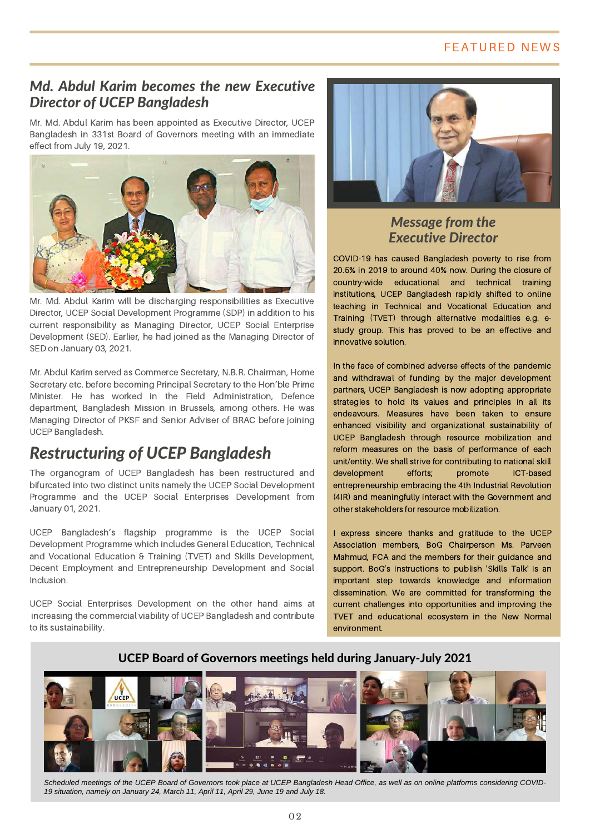## FEATURED NEWS

# *Md. Abdul Karim becomes the new Executive Director of UCEP Bangladesh*

Mr. Md. Abdul Karim has been appointed as Executive Director, UCEP Bangladesh in 331st Board of Governors meeting with an immediate effect from July 19, 2021.



Mr. Md. Abdul Karim will be discharging responsibilities as Executive Director, UCEP Social Development Programme (SDP) in addition to his current responsibility as Managing Director, UCEP Social Enterprise Development (SED). Earlier, he had joined as the Managing Director of SED on January 03, 2021.

Mr. Abdul Karim served as Commerce Secretary, N.B.R. Chairman, Home Secretary etc. before becoming Principal Secretary to the Hon'ble Prime Minister. He has worked in the Field Administration, Defence department, Bangladesh Mission in Brussels, among others. He was Managing Director of PKSF and Senior Adviser of BRAC before joining UCEP Bangladesh.

# *Restructuring of UCEP Bangladesh*

The organogram of UCEP Bangladesh has been restructured and bifurcated into two distinct units namely the UCEP Social Development Programme and the UCEP Social Enterprises Development from January 01, 2021.

UCEP Bangladesh's flagship programme is the UCEP Social Development Programme which includes General Education, Technical and Vocational Education & Training (TVET) and Skills Development, Decent Employment and Entrepreneurship Development and Social Inclusion.

UCEP Social Enterprises Development on the other hand aims at increasing the commercial viability of UCEP Bangladesh and contribute to its sustainability.



# *Message from the Executive Director*

COVID-19 has caused Bangladesh poverty to rise from 20.5% in 2019 to around 40% now. During the closure of country-wide educational and technical training institutions, UCEP Bangladesh rapidly shifted to online teaching in Technical and Vocational Education and Training (TVET) through alternative modalities e.g. estudy group. This has proved to be an effective and innovative solution.

In the face of combined adverse effects of the pandemic and withdrawal of funding by the major development partners, UCEP Bangladesh is now adopting appropriate strategies to hold its values and principles in all its endeavours. Measures have been taken to ensure enhanced visibility and organizational sustainability of UCEP Bangladesh through resource mobilization and reform measures on the basis of performance of each unit/entity. We shall strive for contributing to national skill development efforts; promote ICT-based entrepreneurship embracing the 4th Industrial Revolution (4IR) and meaningfully interact with the Government and other stakeholders for resource mobilization.

I express sincere thanks and gratitude to the UCEP Association members, BoG Chairperson Ms. Parveen Mahmud, FCA and the members for their guidance and support. BoG's instructions to publish 'Skills Talk' is an important step towards knowledge and information dissemination. We are committed for transforming the current challenges into opportunities and improving the TVET and educational ecosystem in the New Normal environment.

## UCEP Board of Governors meetings held during January-July 2021



*Scheduled meetings of the UCEP Board of Governors took place at UCEP Bangladesh Head Office, as well as on online platforms considering COVID-19 situation, namely on January 24, March 11, April 11, April 29, June 19 and July 18.*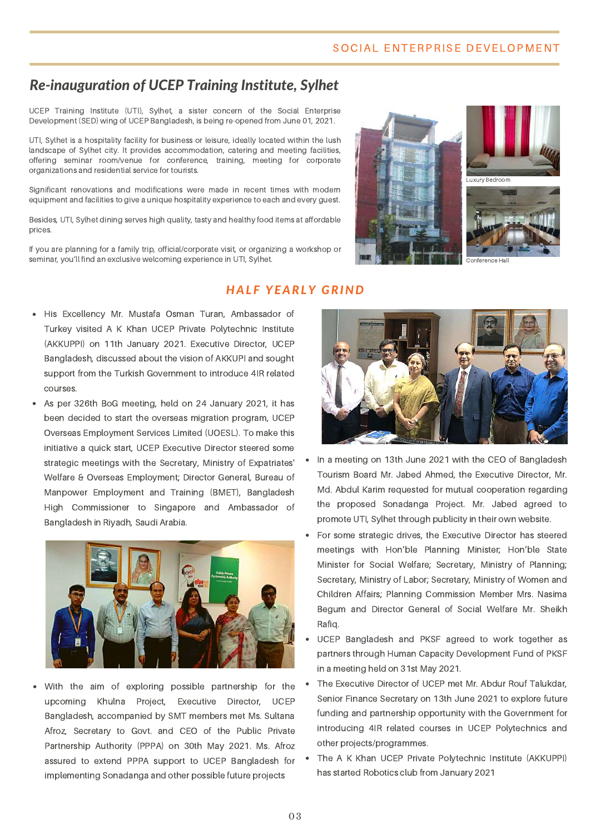#### SOCIAL ENTERPRISE DEVELOPMENT

# *Re-inauguration of UCEP Training Institute, Sylhet*

UCEP Training Institute (UTI), Sylhet, a sister concern of the Social Enterprise Development (SED) wing of UCEP Bangladesh, is being re-opened from June 01, 2021.

UTI, Sylhet is a hospitality facility for business or leisure, ideally located within the lush landscape of Sylhet city. It provides accommodation, catering and meeting facilities, offering seminar room/venue for conference, training, meeting for corporate organizations and residential service for tourists.

Significant renovations and modifications were made in recent times with modern equipment and facilities to give a unique hospitality experience to each and every guest.

Besides, UTI, Sylhet dining serves high quality, tasty and healthy food items at affordable prices.

If you are planning for a family trip, official/corporate visit, or organizing a workshop or seminar, you'll find an exclusive welcoming experience in UTI, Sylhet.

## *HAL F YEARLY GRIND*

- His Excellency Mr. Mustafa Osman Turan, Ambassador of Turkey visited A K Khan UCEP Private Polytechnic Institute (AKKUPPI) on 11th January 2021. Executive Director, UCEP Bangladesh, discussed about the vision of AKKUPI and sought support from the Turkish Government to introduce 4IR related courses.
- As per 326th BoG meeting, held on 24 January 2021, it has been decided to start the overseas migration program, UCEP Overseas Employment Services Limited (UOESL). To make this initiative a quick start, UCEP Executive Director steered some strategic meetings with the Secretary, Ministry of Expatriates' Welfare & Overseas Employment; Director General, Bureau of Manpower Employment and Training (BMET), Bangladesh High Commissioner to Singapore and Ambassador of Bangladesh in Riyadh, Saudi Arabia.



With the aim of exploring possible partnership for the upcoming Khulna Project, Executive Director, UCEP Bangladesh, accompanied by SMT members met Ms. Sultana Afroz, Secretary to Govt. and CEO of the Public Private Partnership Authority (PPPA) on 30th May 2021. Ms. Afroz assured to extend PPPA support to UCEP Bangladesh for implementing Sonadanga and other possible future projects





- In a meeting on 13th June 2021 with the CEO of Bangladesh Tourism Board Mr. Jabed Ahmed, the Executive Director, Mr. Md. Abdul Karim requested for mutual cooperation regarding the proposed Sonadanga Project. Mr. Jabed agreed to promote UTI, Sylhet through publicity in their own website.
- For some strategic drives, the Executive Director has steered meetings with Hon'ble Planning Minister; Hon'ble State Minister for Social Welfare; Secretary, Ministry of Planning; Secretary, Ministry of Labor; Secretary, Ministry of Women and Children Affairs; Planning Commission Member Mrs. Nasima Begum and Director General of Social Welfare Mr. Sheikh Rafiq.
- UCEP Bangladesh and PKSF agreed to work together as partners through Human Capacity Development Fund of PKSF in a meeting held on 31st May 2021.
- The Executive Director of UCEP met Mr. Abdur Rouf Talukdar, Senior Finance Secretary on 13th June 2021 to explore future funding and partnership opportunity with the Government for introducing 4IR related courses in UCEP Polytechnics and other projects/programmes.
- The A K Khan UCEP Private Polytechnic Institute (AKKUPPI) has started Robotics club from January 2021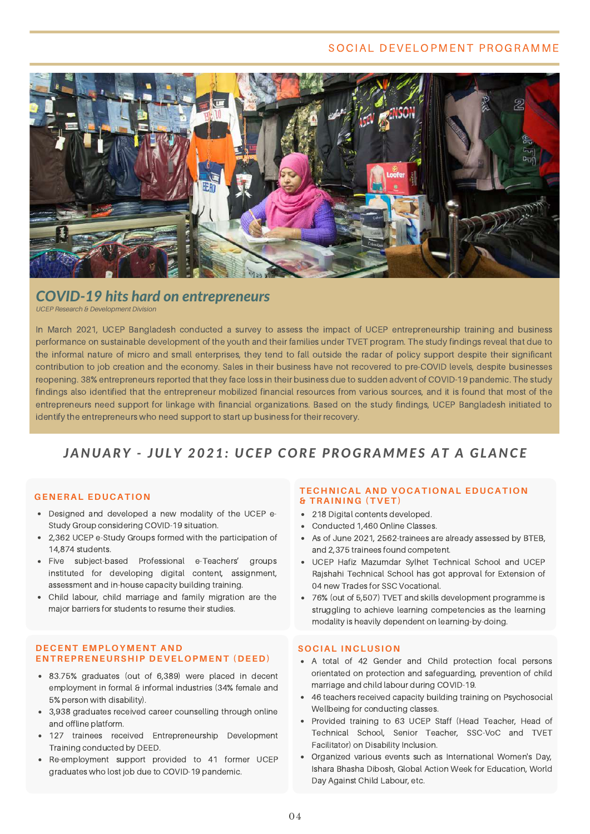#### SOCIAL DEVELOPMENT PROGRAMME



# *COVID-19 hits hard on entrepreneurs*

*UCEP Research & Development Division*

In March 2021, UCEP Bangladesh conducted a survey to assess the impact of UCEP entrepreneurship training and business performance on sustainable development of the youth and their families under TVET program. The study findings reveal that due to the informal nature of micro and small enterprises, they tend to fall outside the radar of policy support despite their significant contribution to job creation and the economy. Sales in their business have not recovered to pre-COVID levels, despite businesses reopening. 38% entrepreneurs reported that they face loss in their business due to sudden advent of COVID-19 pandemic. The study findings also identified that the entrepreneur mobilized financial resources from various sources, and it is found that most of the entrepreneurs need support for linkage with financial organizations. Based on the study findings, UCEP Bangladesh initiated to identify the entrepreneurs who need support to start up business for their recovery.

# *JANUARY - JULY 2021: UCEP CORE PROGRAMME S AT A GLANCE*

#### **GENERAL EDUCATION**

- Designed and developed a new modality of the UCEP e-Study Group considering COVID-19 situation.
- 2,362 UCEP e-Study Groups formed with the participation of 14,874 students.
- Five subject-based Professional e-Teachers' groups instituted for developing digital content, assignment, assessment and in-house capacity building training.
- Child labour, child marriage and family migration are the major barriers for students to resume their studies.

#### **DECENT EMPLOYMENT AND ENTREPRENEURSHIP DEVELOPMENT (DEED)**

- 83.75% graduates (out of 6,389) were placed in decent employment in formal & informal industries (34% female and 5% person with disability).
- 3,938 graduates received career counselling through online and offline platform.
- 127 trainees received Entrepreneurship Development Training conducted by DEED.
- Re-employment support provided to 41 former UCEP graduates who lost job due to COVID-19 pandemic.

#### **TECHNICAL AND VOCATIONAL EDUCATION & TRAINING (TVET)**

- 218 Digital contents developed.
- Conducted 1,460 Online Classes.
- As of June 2021, 2562-trainees are already assessed by BTEB, and 2,375 trainees found competent.
- UCEP Hafiz Mazumdar Sylhet Technical School and UCEP Rajshahi Technical School has got approval for Extension of 04 new Trades for SSC Vocational.
- 76% (out of 5,507) TVET and skills development programme is struggling to achieve learning competencies as the learning modality is heavily dependent on learning-by-doing.

#### **SOCIAL INCLUSION**

- A total of 42 Gender and Child protection focal persons orientated on protection and safeguarding, prevention of child marriage and child labour during COVID-19.
- 46 teachers received capacity building training on Psychosocial Wellbeing for conducting classes.
- Provided training to 63 UCEP Staff (Head Teacher, Head of Technical School, Senior Teacher, SSC-VoC and TVET Facilitator) on Disability Inclusion.
- Organized various events such as International Women's Day, Ishara Bhasha Dibosh, Global Action Week for Education, World Day Against Child Labour, etc.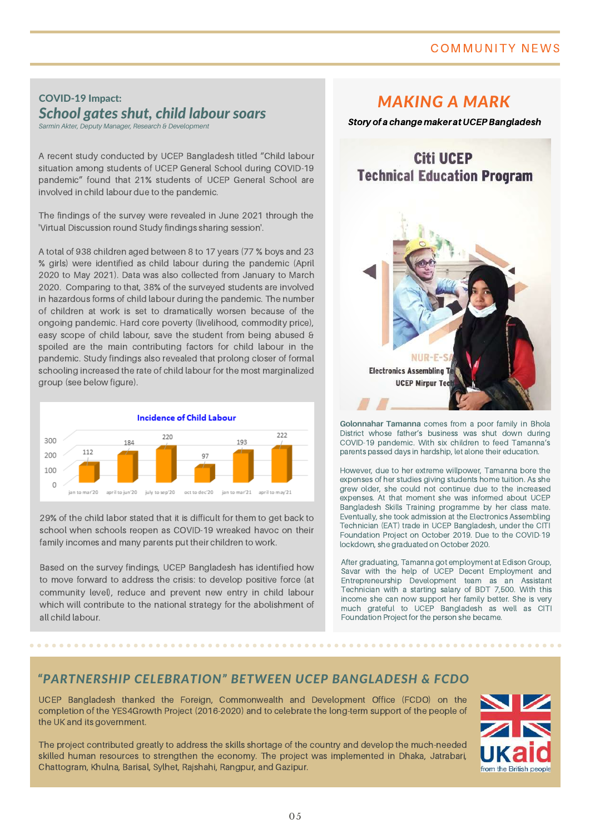# COMMUNITY NEWS

# COVID-19 Impact: *School gates shut, child labour soars*

*Sarmin Akter, Deputy Manager, Research & Development*

A recent study conducted by UCEP Bangladesh titled "Child labour situation among students of UCEP General School during COVID-19 pandemic" found that 21% students of UCEP General School are involved in child labour due to the pandemic.

The findings of the survey were revealed in June 2021 through the 'Virtual Discussion round Study findings sharing session'.

A total of 938 children aged between 8 to 17 years (77 % boys and 23 % girls) were identified as child labour during the pandemic (April 2020 to May 2021). Data was also collected from January to March 2020. Comparing to that, 38% of the surveyed students are involved in hazardous forms of child labour during the pandemic. The number of children at work is set to dramatically worsen because of the ongoing pandemic. Hard core poverty (livelihood, commodity price), easy scope of child labour, save the student from being abused & spoiled are the main contributing factors for child labour in the pandemic. Study findings also revealed that prolong closer of formal schooling increased the rate of child labour for the most marginalized group (see below figure).



29% of the child labor stated that it is difficult for them to get back to school when schools reopen as COVID-19 wreaked havoc on their family incomes and many parents put their children to work.

Based on the survey findings, UCEP Bangladesh has identified how to move forward to address the crisis: to develop positive force (at community level), reduce and prevent new entry in child labour which will contribute to the national strategy for the abolishment of all child labour.

# *MAKING A MARK*

Story of a change maker at UCEPBangladesh



**Golonnahar Tamanna** comes from a poor family in Bhola District whose father's business was shut down during COVID-19 pandemic. With six children to feed Tamanna's parents passed days in hardship, let alone their education.

However, due to her extreme willpower, Tamanna bore the expenses of her studies giving students home tuition. As she grew older, she could not continue due to the increased expenses. At that moment she was informed about UCEP Bangladesh Skills Training programme by her class mate. Eventually, she took admission at the Electronics Assembling Technician (EAT) trade in UCEP Bangladesh, under the CITI Foundation Project on October 2019. Due to the COVID-19 lockdown, she graduated on October 2020.

After graduating, Tamanna got employment at Edison Group, Savar with the help of UCEP Decent Employment and Entrepreneurship Development team as an Assistant Technician with a starting salary of BDT 7,500. With this income she can now support her family better. She is very much grateful to UCEP Bangladesh as well as CITI Foundation Project for the person she became.

## *"PARTNERSHIP CELEBRATION" BETWEEN UCEP BANGLADESH & FCDO*

UCEP Bangladesh thanked the Foreign, Commonwealth and Development Office (FCDO) on the completion of the YES4Growth Project (2016-2020) and to celebrate the long-term support of the people of the UK and its government.

The project contributed greatly to address the skills shortage of the country and develop the much-needed skilled human resources to strengthen the economy. The project was implemented in Dhaka, Jatrabari, Chattogram, Khulna, Barisal, Sylhet, Rajshahi, Rangpur, and Gazipur.

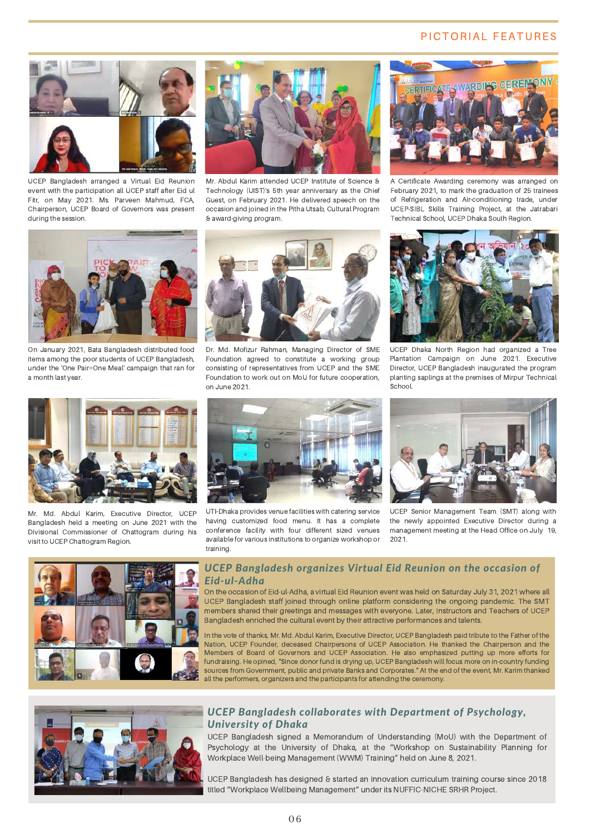#### PICTORIAL FEATURES



UCEP Bangladesh arranged a Virtual Eid Reunion event with the participation all UCEP staff after Eid ul Fitr, on May 2021. Ms. Parveen Mahmud, FCA, Chairperson, UCEP Board of Governors was present during the session.



Mr. Abdul Karim attended UCEP Institute of Science & Technology (UIST)'s 5th year anniversary as the Chief Guest, on February 2021. He delivered speech on the occasion and joined in the Pitha Utsab, Cultural Program & award-giving program.



A Certificate Awarding ceremony was arranged on February 2021, to mark the graduation of 25 trainees of Refrigeration and Air-conditioning trade, under UCEP-SIBL Skills Training Project, at the Jatrabari Technical School, UCEP Dhaka South Region.



On January 2021, Bata Bangladesh distributed food items among the poor students of UCEP Bangladesh, under the 'One Pair=One Meal' campaign that ran for a month last year.



Dr. Md. Mofizur Rahman, Managing Director of SME Foundation agreed to constitute a working group consisting of representatives from UCEP and the SME Foundation to work out on MoU for future cooperation, on June 2021.



UCEP Dhaka North Region had organized a Tree Plantation Campaign on June 2021. Executive Director, UCEP Bangladesh inaugurated the program planting saplings at the premises of Mirpur Technical School.



Mr. Md. Abdul Karim, Executive Director, UCEP Bangladesh held a meeting on June 2021 with the Divisional Commissioner of Chattogram during his visit to UCEP Chattogram Region.



UTI-Dhaka provides venue facilities with catering service having customized food menu. It has a complete conference facility with four different sized venues available for various institutions to organize workshop or training.



UCEP Senior Management Team (SMT) along with the newly appointed Executive Director during a management meeting at the Head Office on July 19, 2021.



#### *UCEP Bangladesh organizes Virtual Eid Reunion on the occasion of Eid-ul-Adha*

On the occasion of Eid-ul-Adha, a virtual Eid Reunion event was held on Saturday July 31, 2021 where all UCEP Bangladesh staff joined through online platform considering the ongoing pandemic. The SMT members shared their greetings and messages with everyone. Later, Instructors and Teachers of UCEP Bangladesh enriched the cultural event by their attractive performances and talents.

In the vote of thanks, Mr. Md. Abdul Karim, Executive Director, UCEP Bangladesh paid tribute to the Father of the Nation, UCEP Founder, deceased Chairpersons of UCEP Association. He thanked the Chairperson and the Members of Board of Governors and UCEP Association. He also emphasized putting up more efforts for fundraising. He opined, "Since donor fund is drying up, UCEP Bangladesh will focus more on in-country funding sources from Government, public and private Banks and Corporates." At the end of the event, Mr. Karim thanked all the performers, organizers and the participants for attending the ceremony.



#### *UCEP Bangladesh collaborates with Department of Psychology, University of Dhaka*

UCEP Bangladesh signed a Memorandum of Understanding (MoU) with the Department of Psychology at the University of Dhaka, at the "Workshop on Sustainability Planning for Workplace Well-being Management (WWM) Training" held on June 8, 2021.

UCEP Bangladesh has designed & started an innovation curriculum training course since 2018 titled "Workplace Wellbeing Management" under its NUFFIC-NICHE SRHR Project.